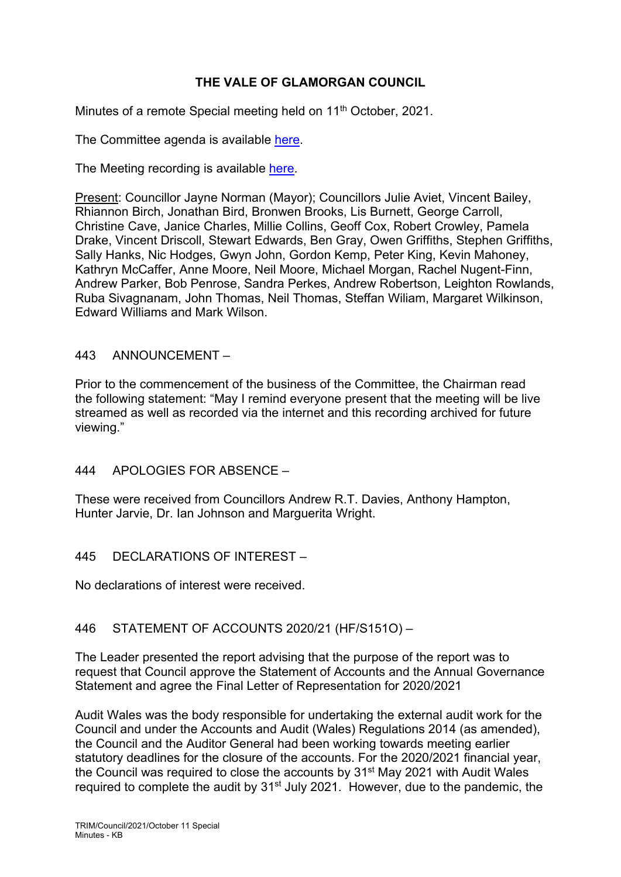# **THE VALE OF GLAMORGAN COUNCIL**

Minutes of a remote Special meeting held on 11<sup>th</sup> October, 2021.

The Committee agenda is available [here.](https://www.valeofglamorgan.gov.uk/en/our_council/Council-Structure/minutes,_agendas_and_reports/agendas/council/2021/21-10-11.aspx)

The Meeting recording is available [here.](https://www.youtube.com/watch?v=DLsbwSV6Z6U&list=PLzt4i14pgqIFIu5GcsMs1g6b5IUR90m5d&index=1&t=104s)

Present: Councillor Jayne Norman (Mayor); Councillors Julie Aviet, Vincent Bailey, Rhiannon Birch, Jonathan Bird, Bronwen Brooks, Lis Burnett, George Carroll, Christine Cave, Janice Charles, Millie Collins, Geoff Cox, Robert Crowley, Pamela Drake, Vincent Driscoll, Stewart Edwards, Ben Gray, Owen Griffiths, Stephen Griffiths, Sally Hanks, Nic Hodges, Gwyn John, Gordon Kemp, Peter King, Kevin Mahoney, Kathryn McCaffer, Anne Moore, Neil Moore, Michael Morgan, Rachel Nugent-Finn, Andrew Parker, Bob Penrose, Sandra Perkes, Andrew Robertson, Leighton Rowlands, Ruba Sivagnanam, John Thomas, Neil Thomas, Steffan Wiliam, Margaret Wilkinson, Edward Williams and Mark Wilson.

### 443 ANNOUNCEMENT –

Prior to the commencement of the business of the Committee, the Chairman read the following statement: "May I remind everyone present that the meeting will be live streamed as well as recorded via the internet and this recording archived for future viewing."

## 444 APOLOGIES FOR ABSENCE –

These were received from Councillors Andrew R.T. Davies, Anthony Hampton, Hunter Jarvie, Dr. Ian Johnson and Marguerita Wright.

445 DECLARATIONS OF INTEREST-

No declarations of interest were received.

## 446 STATEMENT OF ACCOUNTS 2020/21 (HF/S151O) –

The Leader presented the report advising that the purpose of the report was to request that Council approve the Statement of Accounts and the Annual Governance Statement and agree the Final Letter of Representation for 2020/2021

Audit Wales was the body responsible for undertaking the external audit work for the Council and under the Accounts and Audit (Wales) Regulations 2014 (as amended), the Council and the Auditor General had been working towards meeting earlier statutory deadlines for the closure of the accounts. For the 2020/2021 financial year, the Council was required to close the accounts by 31<sup>st</sup> May 2021 with Audit Wales required to complete the audit by  $31<sup>st</sup>$  July 2021. However, due to the pandemic, the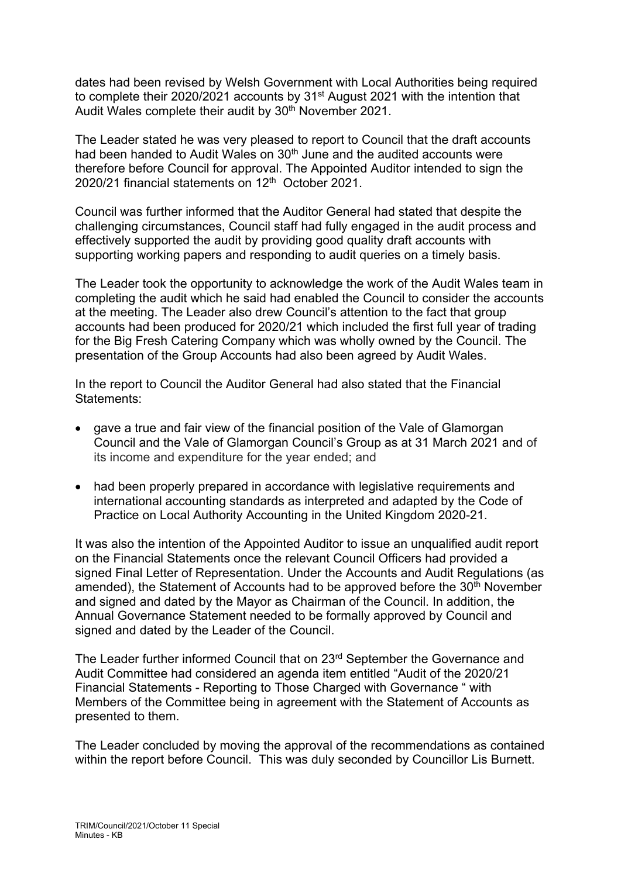dates had been revised by Welsh Government with Local Authorities being required to complete their 2020/2021 accounts by 31<sup>st</sup> August 2021 with the intention that Audit Wales complete their audit by 30<sup>th</sup> November 2021.

The Leader stated he was very pleased to report to Council that the draft accounts had been handed to Audit Wales on 30<sup>th</sup> June and the audited accounts were therefore before Council for approval. The Appointed Auditor intended to sign the 2020/21 financial statements on 12<sup>th</sup> October 2021.

Council was further informed that the Auditor General had stated that despite the challenging circumstances, Council staff had fully engaged in the audit process and effectively supported the audit by providing good quality draft accounts with supporting working papers and responding to audit queries on a timely basis.

The Leader took the opportunity to acknowledge the work of the Audit Wales team in completing the audit which he said had enabled the Council to consider the accounts at the meeting. The Leader also drew Council's attention to the fact that group accounts had been produced for 2020/21 which included the first full year of trading for the Big Fresh Catering Company which was wholly owned by the Council. The presentation of the Group Accounts had also been agreed by Audit Wales.

In the report to Council the Auditor General had also stated that the Financial Statements:

- gave a true and fair view of the financial position of the Vale of Glamorgan Council and the Vale of Glamorgan Council's Group as at 31 March 2021 and of its income and expenditure for the year ended; and
- had been properly prepared in accordance with legislative requirements and international accounting standards as interpreted and adapted by the Code of Practice on Local Authority Accounting in the United Kingdom 2020-21.

It was also the intention of the Appointed Auditor to issue an unqualified audit report on the Financial Statements once the relevant Council Officers had provided a signed Final Letter of Representation. Under the Accounts and Audit Regulations (as amended), the Statement of Accounts had to be approved before the  $30<sup>th</sup>$  November and signed and dated by the Mayor as Chairman of the Council. In addition, the Annual Governance Statement needed to be formally approved by Council and signed and dated by the Leader of the Council.

The Leader further informed Council that on 23<sup>rd</sup> September the Governance and Audit Committee had considered an agenda item entitled "Audit of the 2020/21 Financial Statements - Reporting to Those Charged with Governance " with Members of the Committee being in agreement with the Statement of Accounts as presented to them.

The Leader concluded by moving the approval of the recommendations as contained within the report before Council. This was duly seconded by Councillor Lis Burnett.